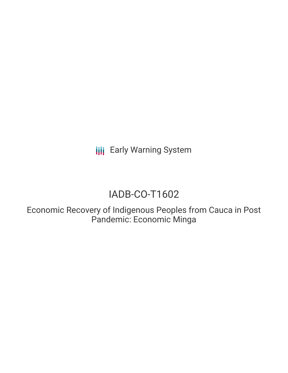**III** Early Warning System

# IADB-CO-T1602

Economic Recovery of Indigenous Peoples from Cauca in Post Pandemic: Economic Minga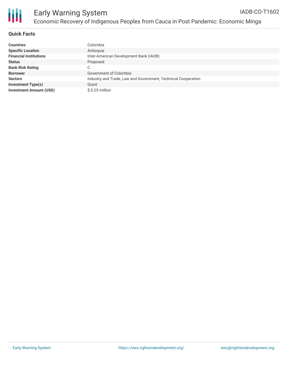

## **Quick Facts**

| <b>Countries</b>               | Colombia                                                      |
|--------------------------------|---------------------------------------------------------------|
| <b>Specific Location</b>       | Antioquia                                                     |
| <b>Financial Institutions</b>  | Inter-American Development Bank (IADB)                        |
| <b>Status</b>                  | Proposed                                                      |
| <b>Bank Risk Rating</b>        | C                                                             |
| <b>Borrower</b>                | Government of Colombia                                        |
| <b>Sectors</b>                 | Industry and Trade, Law and Government, Technical Cooperation |
| <b>Investment Type(s)</b>      | Grant                                                         |
| <b>Investment Amount (USD)</b> | $$0.25$ million                                               |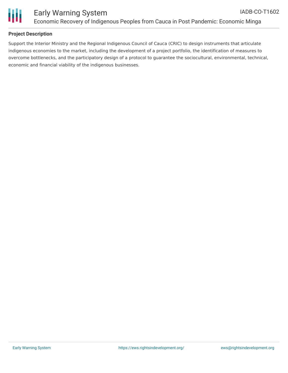

## **Project Description**

Support the Interior Ministry and the Regional Indigenous Council of Cauca (CRIC) to design instruments that articulate indigenous economies to the market, including the development of a project portfolio, the identification of measures to overcome bottlenecks, and the participatory design of a protocol to guarantee the sociocultural, environmental, technical, economic and financial viability of the indigenous businesses.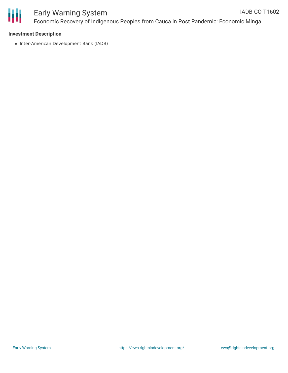

#### Early Warning System Economic Recovery of Indigenous Peoples from Cauca in Post Pandemic: Economic Minga IADB-CO-T1602

#### **Investment Description**

• Inter-American Development Bank (IADB)